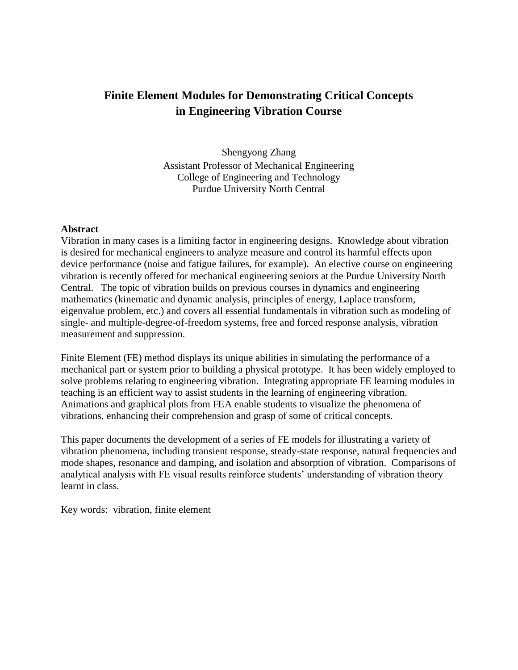# **Finite Element Modules for Demonstrating Critical Concepts in Engineering Vibration Course**

Shengyong Zhang Assistant Professor of Mechanical Engineering College of Engineering and Technology Purdue University North Central

### **Abstract**

Vibration in many cases is a limiting factor in engineering designs. Knowledge about vibration is desired for mechanical engineers to analyze measure and control its harmful effects upon device performance (noise and fatigue failures, for example). An elective course on engineering vibration is recently offered for mechanical engineering seniors at the Purdue University North Central. The topic of vibration builds on previous courses in dynamics and engineering mathematics (kinematic and dynamic analysis, principles of energy, Laplace transform, eigenvalue problem, etc.) and covers all essential fundamentals in vibration such as modeling of single- and multiple-degree-of-freedom systems, free and forced response analysis, vibration measurement and suppression.

Finite Element (FE) method displays its unique abilities in simulating the performance of a mechanical part or system prior to building a physical prototype. It has been widely employed to solve problems relating to engineering vibration. Integrating appropriate FE learning modules in teaching is an efficient way to assist students in the learning of engineering vibration. Animations and graphical plots from FEA enable students to visualize the phenomena of vibrations, enhancing their comprehension and grasp of some of critical concepts.

This paper documents the development of a series of FE models for illustrating a variety of vibration phenomena, including transient response, steady-state response, natural frequencies and mode shapes, resonance and damping, and isolation and absorption of vibration. Comparisons of analytical analysis with FE visual results reinforce students' understanding of vibration theory learnt in class.

Key words: vibration, finite element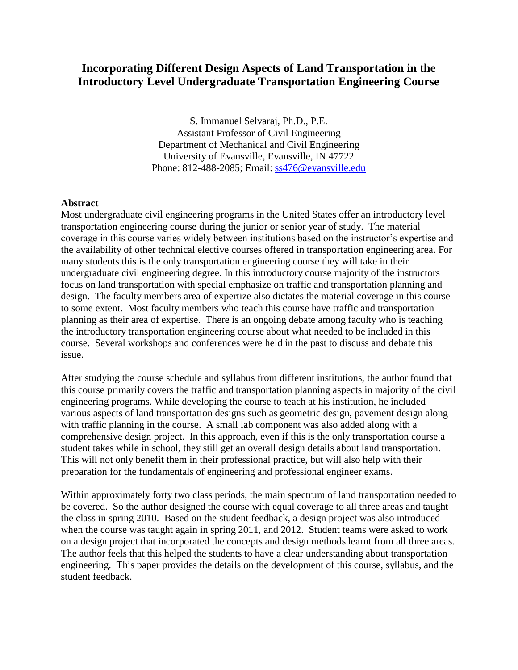# **Incorporating Different Design Aspects of Land Transportation in the Introductory Level Undergraduate Transportation Engineering Course**

S. Immanuel Selvaraj, Ph.D., P.E. Assistant Professor of Civil Engineering Department of Mechanical and Civil Engineering University of Evansville, Evansville, IN 47722 Phone: 812-488-2085; Email: [ss476@evansville.edu](mailto:ss476@evansville.edu)

### **Abstract**

Most undergraduate civil engineering programs in the United States offer an introductory level transportation engineering course during the junior or senior year of study. The material coverage in this course varies widely between institutions based on the instructor's expertise and the availability of other technical elective courses offered in transportation engineering area. For many students this is the only transportation engineering course they will take in their undergraduate civil engineering degree. In this introductory course majority of the instructors focus on land transportation with special emphasize on traffic and transportation planning and design. The faculty members area of expertize also dictates the material coverage in this course to some extent. Most faculty members who teach this course have traffic and transportation planning as their area of expertise. There is an ongoing debate among faculty who is teaching the introductory transportation engineering course about what needed to be included in this course. Several workshops and conferences were held in the past to discuss and debate this issue.

After studying the course schedule and syllabus from different institutions, the author found that this course primarily covers the traffic and transportation planning aspects in majority of the civil engineering programs. While developing the course to teach at his institution, he included various aspects of land transportation designs such as geometric design, pavement design along with traffic planning in the course. A small lab component was also added along with a comprehensive design project. In this approach, even if this is the only transportation course a student takes while in school, they still get an overall design details about land transportation. This will not only benefit them in their professional practice, but will also help with their preparation for the fundamentals of engineering and professional engineer exams.

Within approximately forty two class periods, the main spectrum of land transportation needed to be covered. So the author designed the course with equal coverage to all three areas and taught the class in spring 2010. Based on the student feedback, a design project was also introduced when the course was taught again in spring 2011, and 2012. Student teams were asked to work on a design project that incorporated the concepts and design methods learnt from all three areas. The author feels that this helped the students to have a clear understanding about transportation engineering. This paper provides the details on the development of this course, syllabus, and the student feedback.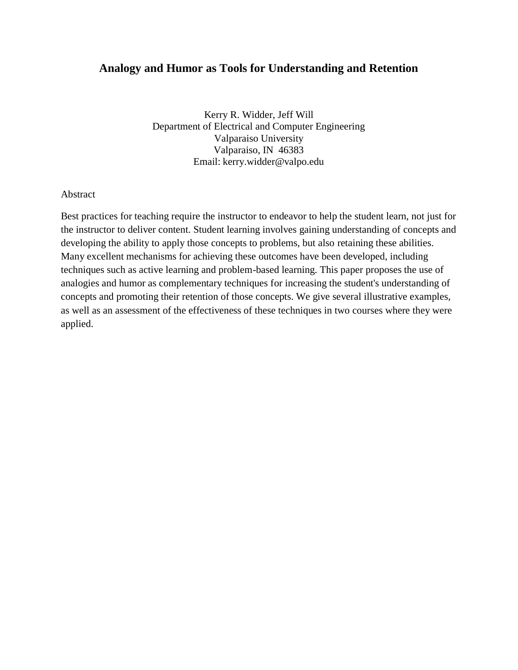# **Analogy and Humor as Tools for Understanding and Retention**

Kerry R. Widder, Jeff Will Department of Electrical and Computer Engineering Valparaiso University Valparaiso, IN 46383 Email: kerry.widder@valpo.edu

### Abstract

Best practices for teaching require the instructor to endeavor to help the student learn, not just for the instructor to deliver content. Student learning involves gaining understanding of concepts and developing the ability to apply those concepts to problems, but also retaining these abilities. Many excellent mechanisms for achieving these outcomes have been developed, including techniques such as active learning and problem-based learning. This paper proposes the use of analogies and humor as complementary techniques for increasing the student's understanding of concepts and promoting their retention of those concepts. We give several illustrative examples, as well as an assessment of the effectiveness of these techniques in two courses where they were applied.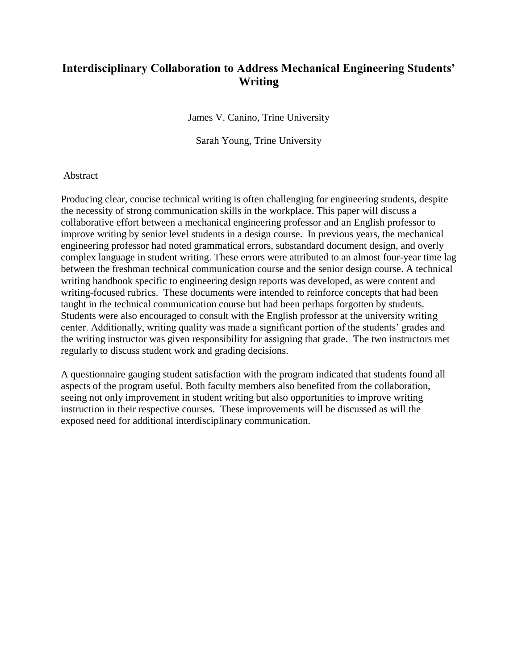# **Interdisciplinary Collaboration to Address Mechanical Engineering Students' Writing**

James V. Canino, Trine University

Sarah Young, Trine University

### Abstract

Producing clear, concise technical writing is often challenging for engineering students, despite the necessity of strong communication skills in the workplace. This paper will discuss a collaborative effort between a mechanical engineering professor and an English professor to improve writing by senior level students in a design course. In previous years, the mechanical engineering professor had noted grammatical errors, substandard document design, and overly complex language in student writing. These errors were attributed to an almost four-year time lag between the freshman technical communication course and the senior design course. A technical writing handbook specific to engineering design reports was developed, as were content and writing-focused rubrics. These documents were intended to reinforce concepts that had been taught in the technical communication course but had been perhaps forgotten by students. Students were also encouraged to consult with the English professor at the university writing center. Additionally, writing quality was made a significant portion of the students' grades and the writing instructor was given responsibility for assigning that grade. The two instructors met regularly to discuss student work and grading decisions.

A questionnaire gauging student satisfaction with the program indicated that students found all aspects of the program useful. Both faculty members also benefited from the collaboration, seeing not only improvement in student writing but also opportunities to improve writing instruction in their respective courses. These improvements will be discussed as will the exposed need for additional interdisciplinary communication.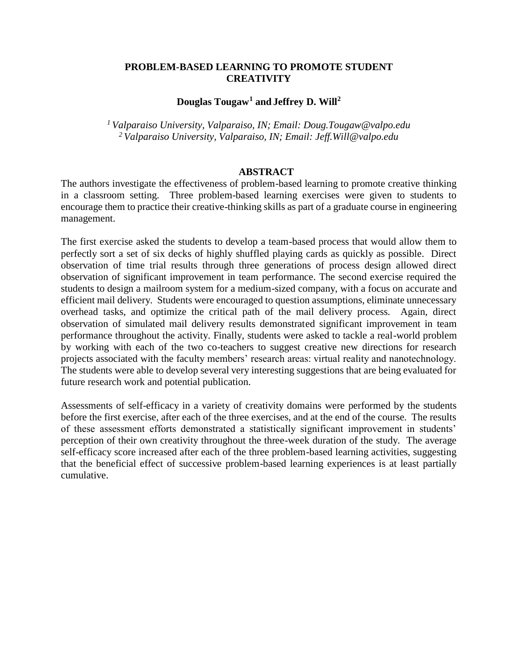## **PROBLEM-BASED LEARNING TO PROMOTE STUDENT CREATIVITY**

**Douglas Tougaw<sup>1</sup> and Jeffrey D. Will<sup>2</sup>**

*<sup>1</sup>Valparaiso University, Valparaiso, IN; Email: Doug.Tougaw@valpo.edu <sup>2</sup>Valparaiso University, Valparaiso, IN; Email: Jeff.Will@valpo.edu*

### **ABSTRACT**

The authors investigate the effectiveness of problem-based learning to promote creative thinking in a classroom setting. Three problem-based learning exercises were given to students to encourage them to practice their creative-thinking skills as part of a graduate course in engineering management.

The first exercise asked the students to develop a team-based process that would allow them to perfectly sort a set of six decks of highly shuffled playing cards as quickly as possible. Direct observation of time trial results through three generations of process design allowed direct observation of significant improvement in team performance. The second exercise required the students to design a mailroom system for a medium-sized company, with a focus on accurate and efficient mail delivery. Students were encouraged to question assumptions, eliminate unnecessary overhead tasks, and optimize the critical path of the mail delivery process. Again, direct observation of simulated mail delivery results demonstrated significant improvement in team performance throughout the activity. Finally, students were asked to tackle a real-world problem by working with each of the two co-teachers to suggest creative new directions for research projects associated with the faculty members' research areas: virtual reality and nanotechnology. The students were able to develop several very interesting suggestions that are being evaluated for future research work and potential publication.

Assessments of self-efficacy in a variety of creativity domains were performed by the students before the first exercise, after each of the three exercises, and at the end of the course. The results of these assessment efforts demonstrated a statistically significant improvement in students' perception of their own creativity throughout the three-week duration of the study. The average self-efficacy score increased after each of the three problem-based learning activities, suggesting that the beneficial effect of successive problem-based learning experiences is at least partially cumulative.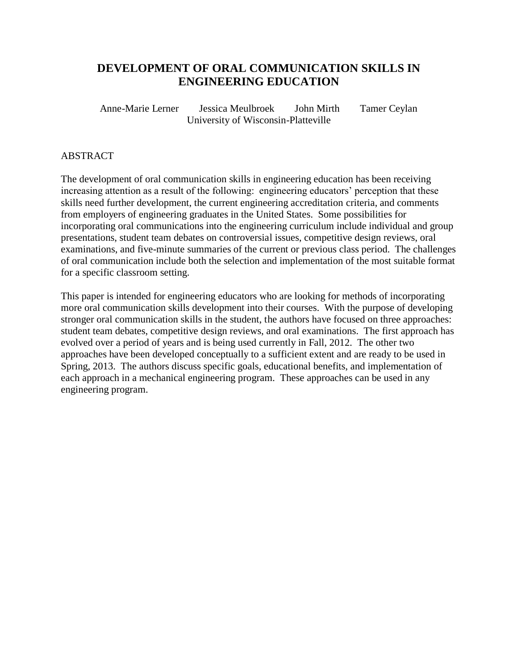# **DEVELOPMENT OF ORAL COMMUNICATION SKILLS IN ENGINEERING EDUCATION**

Anne-Marie Lerner Jessica Meulbroek John Mirth Tamer Ceylan University of Wisconsin-Platteville

## ABSTRACT

The development of oral communication skills in engineering education has been receiving increasing attention as a result of the following: engineering educators' perception that these skills need further development, the current engineering accreditation criteria, and comments from employers of engineering graduates in the United States. Some possibilities for incorporating oral communications into the engineering curriculum include individual and group presentations, student team debates on controversial issues, competitive design reviews, oral examinations, and five-minute summaries of the current or previous class period. The challenges of oral communication include both the selection and implementation of the most suitable format for a specific classroom setting.

This paper is intended for engineering educators who are looking for methods of incorporating more oral communication skills development into their courses. With the purpose of developing stronger oral communication skills in the student, the authors have focused on three approaches: student team debates, competitive design reviews, and oral examinations. The first approach has evolved over a period of years and is being used currently in Fall, 2012. The other two approaches have been developed conceptually to a sufficient extent and are ready to be used in Spring, 2013. The authors discuss specific goals, educational benefits, and implementation of each approach in a mechanical engineering program. These approaches can be used in any engineering program.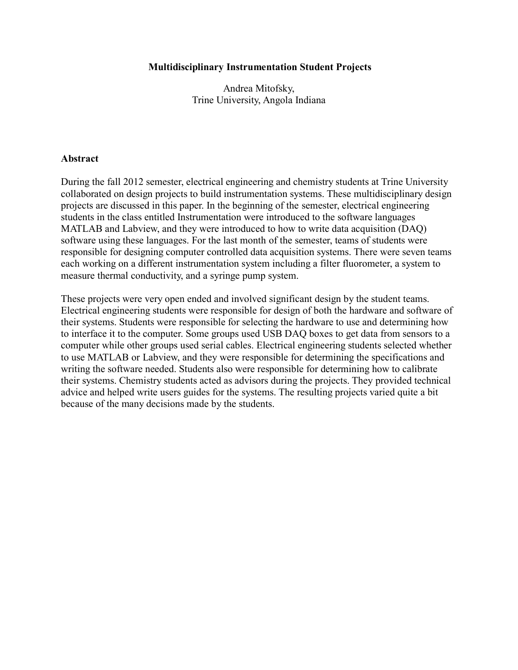### **Multidisciplinary Instrumentation Student Projects**

Andrea Mitofsky, Trine University, Angola Indiana

### **Abstract**

During the fall 2012 semester, electrical engineering and chemistry students at Trine University collaborated on design projects to build instrumentation systems. These multidisciplinary design projects are discussed in this paper. In the beginning of the semester, electrical engineering students in the class entitled Instrumentation were introduced to the software languages MATLAB and Labview, and they were introduced to how to write data acquisition (DAQ) software using these languages. For the last month of the semester, teams of students were responsible for designing computer controlled data acquisition systems. There were seven teams each working on a different instrumentation system including a filter fluorometer, a system to measure thermal conductivity, and a syringe pump system.

These projects were very open ended and involved significant design by the student teams. Electrical engineering students were responsible for design of both the hardware and software of their systems. Students were responsible for selecting the hardware to use and determining how to interface it to the computer. Some groups used USB DAQ boxes to get data from sensors to a computer while other groups used serial cables. Electrical engineering students selected whether to use MATLAB or Labview, and they were responsible for determining the specifications and writing the software needed. Students also were responsible for determining how to calibrate their systems. Chemistry students acted as advisors during the projects. They provided technical advice and helped write users guides for the systems. The resulting projects varied quite a bit because of the many decisions made by the students.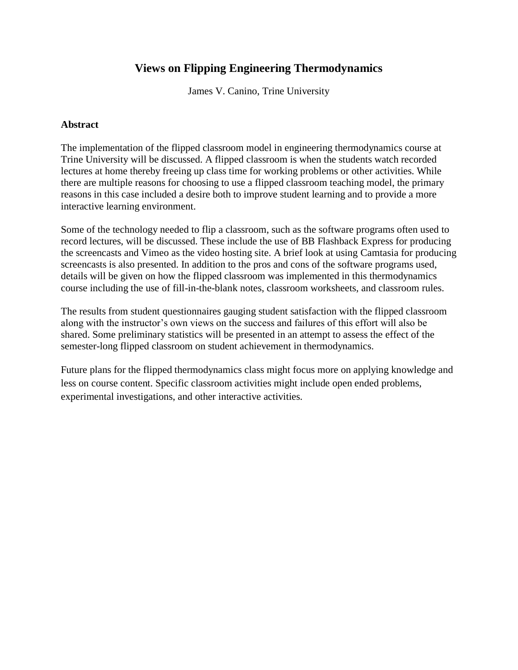# **Views on Flipping Engineering Thermodynamics**

James V. Canino, Trine University

## **Abstract**

The implementation of the flipped classroom model in engineering thermodynamics course at Trine University will be discussed. A flipped classroom is when the students watch recorded lectures at home thereby freeing up class time for working problems or other activities. While there are multiple reasons for choosing to use a flipped classroom teaching model, the primary reasons in this case included a desire both to improve student learning and to provide a more interactive learning environment.

Some of the technology needed to flip a classroom, such as the software programs often used to record lectures, will be discussed. These include the use of BB Flashback Express for producing the screencasts and Vimeo as the video hosting site. A brief look at using Camtasia for producing screencasts is also presented. In addition to the pros and cons of the software programs used, details will be given on how the flipped classroom was implemented in this thermodynamics course including the use of fill-in-the-blank notes, classroom worksheets, and classroom rules.

The results from student questionnaires gauging student satisfaction with the flipped classroom along with the instructor's own views on the success and failures of this effort will also be shared. Some preliminary statistics will be presented in an attempt to assess the effect of the semester-long flipped classroom on student achievement in thermodynamics.

Future plans for the flipped thermodynamics class might focus more on applying knowledge and less on course content. Specific classroom activities might include open ended problems, experimental investigations, and other interactive activities.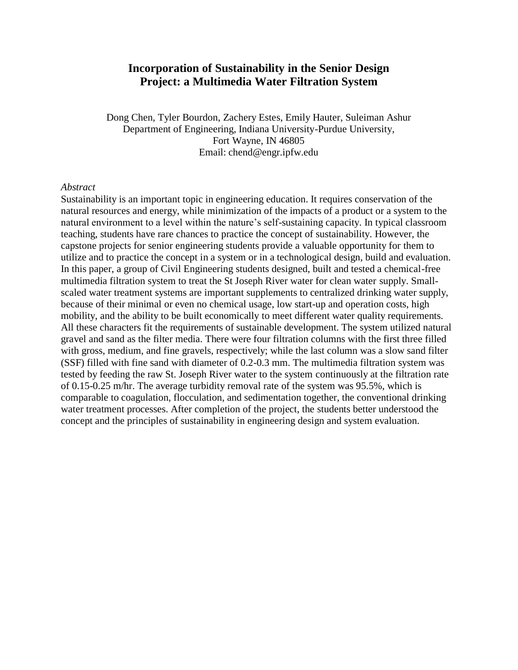# **Incorporation of Sustainability in the Senior Design Project: a Multimedia Water Filtration System**

Dong Chen, Tyler Bourdon, Zachery Estes, Emily Hauter, Suleiman Ashur Department of Engineering, Indiana University-Purdue University, Fort Wayne, IN 46805 Email: chend@engr.ipfw.edu

#### *Abstract*

Sustainability is an important topic in engineering education. It requires conservation of the natural resources and energy, while minimization of the impacts of a product or a system to the natural environment to a level within the nature's self-sustaining capacity. In typical classroom teaching, students have rare chances to practice the concept of sustainability. However, the capstone projects for senior engineering students provide a valuable opportunity for them to utilize and to practice the concept in a system or in a technological design, build and evaluation. In this paper, a group of Civil Engineering students designed, built and tested a chemical-free multimedia filtration system to treat the St Joseph River water for clean water supply. Smallscaled water treatment systems are important supplements to centralized drinking water supply, because of their minimal or even no chemical usage, low start-up and operation costs, high mobility, and the ability to be built economically to meet different water quality requirements. All these characters fit the requirements of sustainable development. The system utilized natural gravel and sand as the filter media. There were four filtration columns with the first three filled with gross, medium, and fine gravels, respectively; while the last column was a slow sand filter (SSF) filled with fine sand with diameter of 0.2-0.3 mm. The multimedia filtration system was tested by feeding the raw St. Joseph River water to the system continuously at the filtration rate of 0.15-0.25 m/hr. The average turbidity removal rate of the system was 95.5%, which is comparable to coagulation, flocculation, and sedimentation together, the conventional drinking water treatment processes. After completion of the project, the students better understood the concept and the principles of sustainability in engineering design and system evaluation.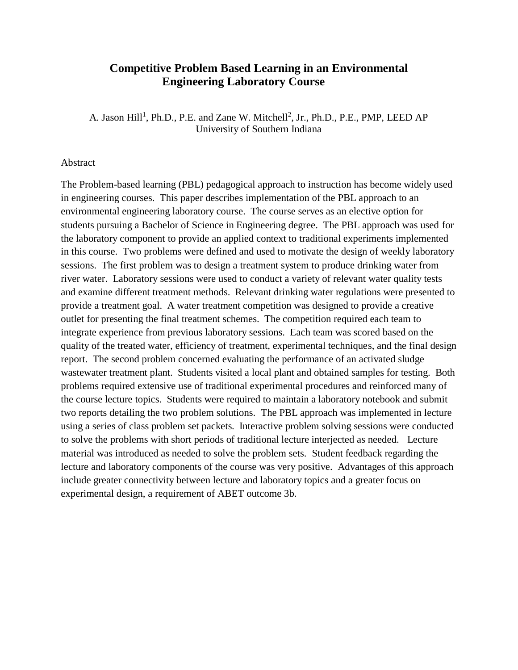# **Competitive Problem Based Learning in an Environmental Engineering Laboratory Course**

A. Jason Hill<sup>1</sup>, Ph.D., P.E. and Zane W. Mitchell<sup>2</sup>, Jr., Ph.D., P.E., PMP, LEED AP University of Southern Indiana

#### Abstract

The Problem-based learning (PBL) pedagogical approach to instruction has become widely used in engineering courses. This paper describes implementation of the PBL approach to an environmental engineering laboratory course. The course serves as an elective option for students pursuing a Bachelor of Science in Engineering degree. The PBL approach was used for the laboratory component to provide an applied context to traditional experiments implemented in this course. Two problems were defined and used to motivate the design of weekly laboratory sessions. The first problem was to design a treatment system to produce drinking water from river water. Laboratory sessions were used to conduct a variety of relevant water quality tests and examine different treatment methods. Relevant drinking water regulations were presented to provide a treatment goal. A water treatment competition was designed to provide a creative outlet for presenting the final treatment schemes. The competition required each team to integrate experience from previous laboratory sessions. Each team was scored based on the quality of the treated water, efficiency of treatment, experimental techniques, and the final design report. The second problem concerned evaluating the performance of an activated sludge wastewater treatment plant. Students visited a local plant and obtained samples for testing. Both problems required extensive use of traditional experimental procedures and reinforced many of the course lecture topics. Students were required to maintain a laboratory notebook and submit two reports detailing the two problem solutions. The PBL approach was implemented in lecture using a series of class problem set packets. Interactive problem solving sessions were conducted to solve the problems with short periods of traditional lecture interjected as needed. Lecture material was introduced as needed to solve the problem sets. Student feedback regarding the lecture and laboratory components of the course was very positive. Advantages of this approach include greater connectivity between lecture and laboratory topics and a greater focus on experimental design, a requirement of ABET outcome 3b.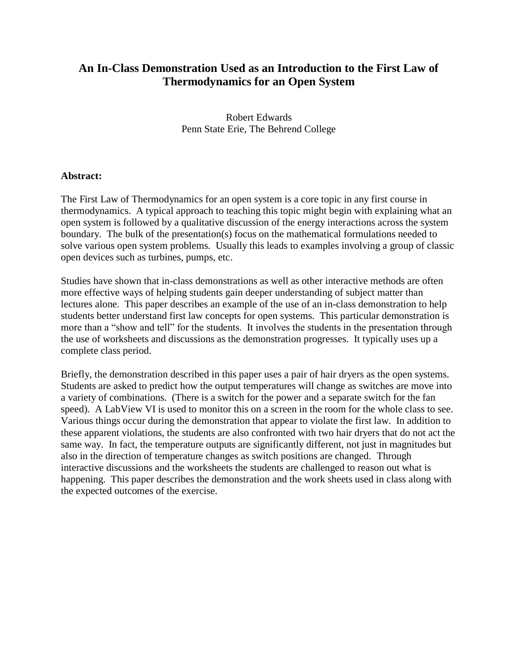# **An In-Class Demonstration Used as an Introduction to the First Law of Thermodynamics for an Open System**

Robert Edwards Penn State Erie, The Behrend College

## **Abstract:**

The First Law of Thermodynamics for an open system is a core topic in any first course in thermodynamics. A typical approach to teaching this topic might begin with explaining what an open system is followed by a qualitative discussion of the energy interactions across the system boundary. The bulk of the presentation(s) focus on the mathematical formulations needed to solve various open system problems. Usually this leads to examples involving a group of classic open devices such as turbines, pumps, etc.

Studies have shown that in-class demonstrations as well as other interactive methods are often more effective ways of helping students gain deeper understanding of subject matter than lectures alone. This paper describes an example of the use of an in-class demonstration to help students better understand first law concepts for open systems. This particular demonstration is more than a "show and tell" for the students. It involves the students in the presentation through the use of worksheets and discussions as the demonstration progresses. It typically uses up a complete class period.

Briefly, the demonstration described in this paper uses a pair of hair dryers as the open systems. Students are asked to predict how the output temperatures will change as switches are move into a variety of combinations. (There is a switch for the power and a separate switch for the fan speed). A LabView VI is used to monitor this on a screen in the room for the whole class to see. Various things occur during the demonstration that appear to violate the first law. In addition to these apparent violations, the students are also confronted with two hair dryers that do not act the same way. In fact, the temperature outputs are significantly different, not just in magnitudes but also in the direction of temperature changes as switch positions are changed. Through interactive discussions and the worksheets the students are challenged to reason out what is happening. This paper describes the demonstration and the work sheets used in class along with the expected outcomes of the exercise.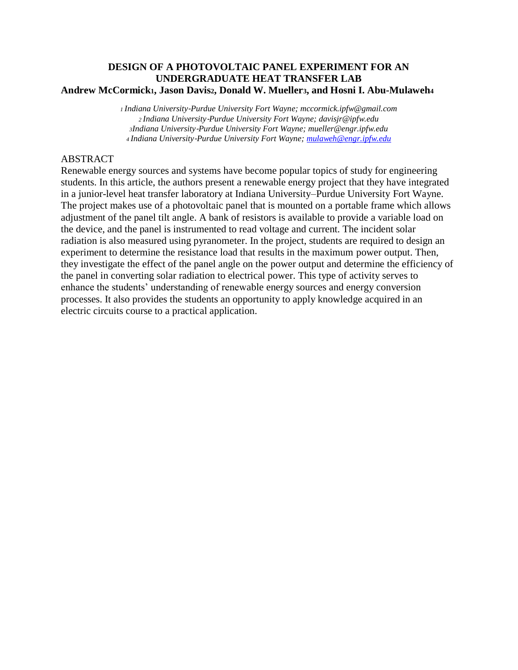### **DESIGN OF A PHOTOVOLTAIC PANEL EXPERIMENT FOR AN UNDERGRADUATE HEAT TRANSFER LAB Andrew McCormick1, Jason Davis2, Donald W. Mueller3, and Hosni I. Abu-Mulaweh<sup>4</sup>**

*Indiana University*‐*Purdue University Fort Wayne; mccormick.ipfw@gmail.com Indiana University*‐*Purdue University Fort Wayne; davisjr@ipfw.edu Indiana University*‐*Purdue University Fort Wayne; mueller@engr.ipfw.edu Indiana University*‐*Purdue University Fort Wayne; [mulaweh@engr.ipfw.edu](mailto:mulaweh@engr.ipfw.edu)*

### ABSTRACT

Renewable energy sources and systems have become popular topics of study for engineering students. In this article, the authors present a renewable energy project that they have integrated in a junior-level heat transfer laboratory at Indiana University–Purdue University Fort Wayne. The project makes use of a photovoltaic panel that is mounted on a portable frame which allows adjustment of the panel tilt angle. A bank of resistors is available to provide a variable load on the device, and the panel is instrumented to read voltage and current. The incident solar radiation is also measured using pyranometer. In the project, students are required to design an experiment to determine the resistance load that results in the maximum power output. Then, they investigate the effect of the panel angle on the power output and determine the efficiency of the panel in converting solar radiation to electrical power. This type of activity serves to enhance the students' understanding of renewable energy sources and energy conversion processes. It also provides the students an opportunity to apply knowledge acquired in an electric circuits course to a practical application.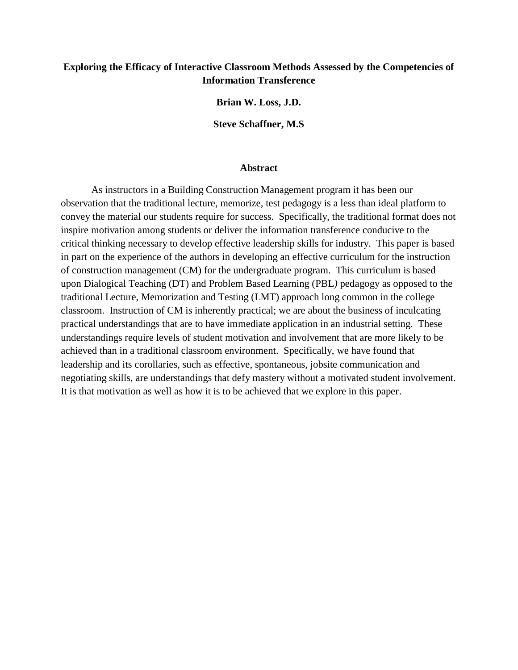## **Exploring the Efficacy of Interactive Classroom Methods Assessed by the Competencies of Information Transference**

**Brian W. Loss, J.D.** 

**Steve Schaffner, M.S** 

#### **Abstract**

As instructors in a Building Construction Management program it has been our observation that the traditional lecture, memorize, test pedagogy is a less than ideal platform to convey the material our students require for success. Specifically, the traditional format does not inspire motivation among students or deliver the information transference conducive to the critical thinking necessary to develop effective leadership skills for industry. This paper is based in part on the experience of the authors in developing an effective curriculum for the instruction of construction management (CM) for the undergraduate program. This curriculum is based upon Dialogical Teaching (DT) and Problem Based Learning (PBL*)* pedagogy as opposed to the traditional Lecture, Memorization and Testing (LMT) approach long common in the college classroom. Instruction of CM is inherently practical; we are about the business of inculcating practical understandings that are to have immediate application in an industrial setting. These understandings require levels of student motivation and involvement that are more likely to be achieved than in a traditional classroom environment. Specifically, we have found that leadership and its corollaries, such as effective, spontaneous, jobsite communication and negotiating skills, are understandings that defy mastery without a motivated student involvement. It is that motivation as well as how it is to be achieved that we explore in this paper.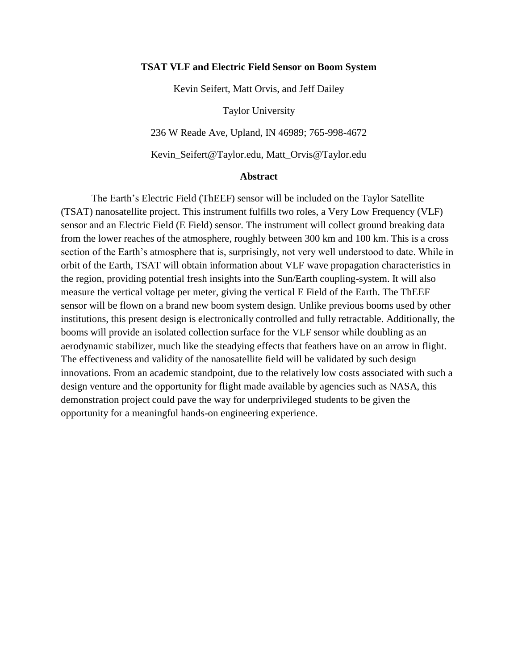#### **TSAT VLF and Electric Field Sensor on Boom System**

Kevin Seifert, Matt Orvis, and Jeff Dailey

Taylor University

236 W Reade Ave, Upland, IN 46989; 765-998-4672

Kevin\_Seifert@Taylor.edu, Matt\_Orvis@Taylor.edu

#### **Abstract**

The Earth's Electric Field (ThEEF) sensor will be included on the Taylor Satellite (TSAT) nanosatellite project. This instrument fulfills two roles, a Very Low Frequency (VLF) sensor and an Electric Field (E Field) sensor. The instrument will collect ground breaking data from the lower reaches of the atmosphere, roughly between 300 km and 100 km. This is a cross section of the Earth's atmosphere that is, surprisingly, not very well understood to date. While in orbit of the Earth, TSAT will obtain information about VLF wave propagation characteristics in the region, providing potential fresh insights into the Sun/Earth coupling-system. It will also measure the vertical voltage per meter, giving the vertical E Field of the Earth. The ThEEF sensor will be flown on a brand new boom system design. Unlike previous booms used by other institutions, this present design is electronically controlled and fully retractable. Additionally, the booms will provide an isolated collection surface for the VLF sensor while doubling as an aerodynamic stabilizer, much like the steadying effects that feathers have on an arrow in flight. The effectiveness and validity of the nanosatellite field will be validated by such design innovations. From an academic standpoint, due to the relatively low costs associated with such a design venture and the opportunity for flight made available by agencies such as NASA, this demonstration project could pave the way for underprivileged students to be given the opportunity for a meaningful hands-on engineering experience.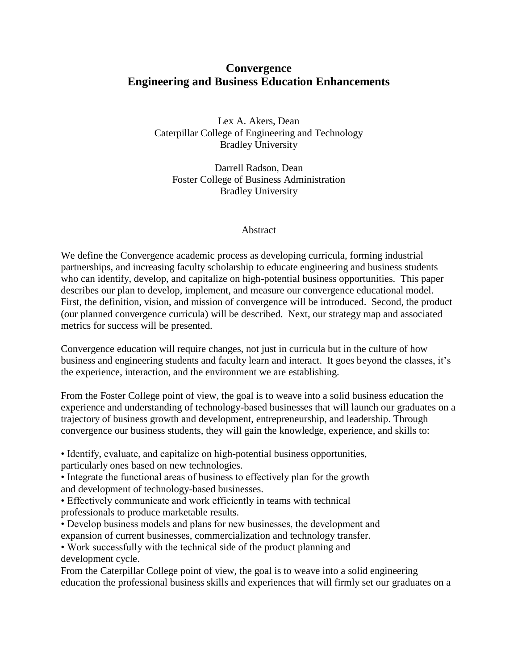# **Convergence Engineering and Business Education Enhancements**

Lex A. Akers, Dean Caterpillar College of Engineering and Technology Bradley University

Darrell Radson, Dean Foster College of Business Administration Bradley University

### **Abstract**

We define the Convergence academic process as developing curricula, forming industrial partnerships, and increasing faculty scholarship to educate engineering and business students who can identify, develop, and capitalize on high-potential business opportunities. This paper describes our plan to develop, implement, and measure our convergence educational model. First, the definition, vision, and mission of convergence will be introduced. Second, the product (our planned convergence curricula) will be described. Next, our strategy map and associated metrics for success will be presented.

Convergence education will require changes, not just in curricula but in the culture of how business and engineering students and faculty learn and interact. It goes beyond the classes, it's the experience, interaction, and the environment we are establishing.

From the Foster College point of view, the goal is to weave into a solid business education the experience and understanding of technology-based businesses that will launch our graduates on a trajectory of business growth and development, entrepreneurship, and leadership. Through convergence our business students, they will gain the knowledge, experience, and skills to:

• Identify, evaluate, and capitalize on high-potential business opportunities, particularly ones based on new technologies.

• Integrate the functional areas of business to effectively plan for the growth and development of technology-based businesses.

• Effectively communicate and work efficiently in teams with technical professionals to produce marketable results.

• Develop business models and plans for new businesses, the development and expansion of current businesses, commercialization and technology transfer.

• Work successfully with the technical side of the product planning and development cycle.

From the Caterpillar College point of view, the goal is to weave into a solid engineering education the professional business skills and experiences that will firmly set our graduates on a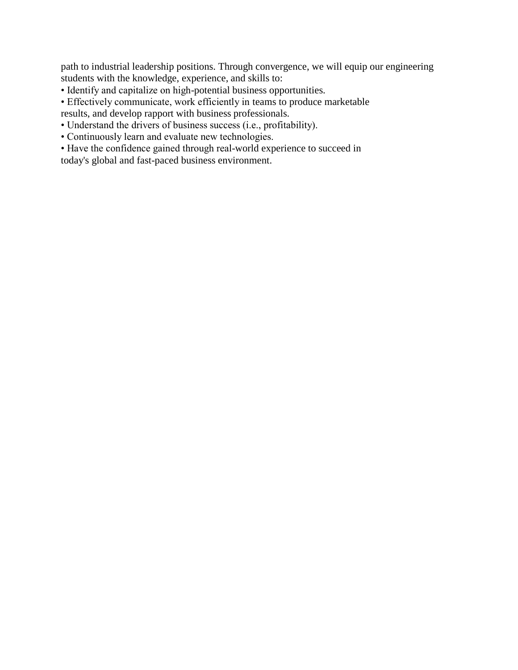path to industrial leadership positions. Through convergence, we will equip our engineering students with the knowledge, experience, and skills to:

- Identify and capitalize on high-potential business opportunities.
- Effectively communicate, work efficiently in teams to produce marketable results, and develop rapport with business professionals.
- Understand the drivers of business success (i.e., profitability).
- Continuously learn and evaluate new technologies.
- Have the confidence gained through real-world experience to succeed in today's global and fast-paced business environment.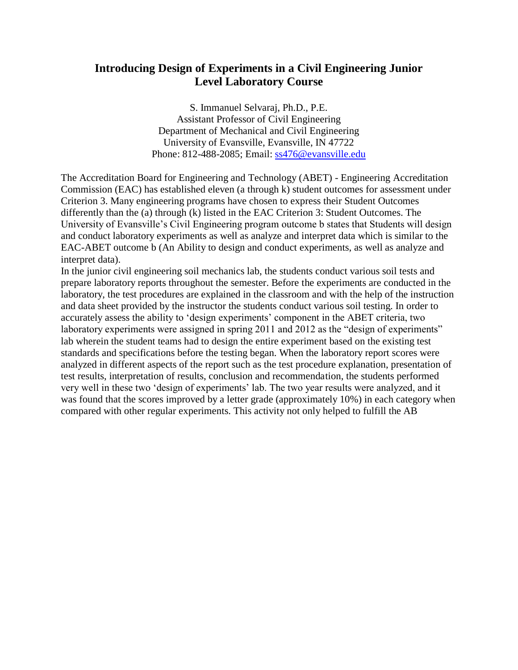# **Introducing Design of Experiments in a Civil Engineering Junior Level Laboratory Course**

S. Immanuel Selvaraj, Ph.D., P.E. Assistant Professor of Civil Engineering Department of Mechanical and Civil Engineering University of Evansville, Evansville, IN 47722 Phone: 812-488-2085; Email: [ss476@evansville.edu](mailto:ss476@evansville.edu)

The Accreditation Board for Engineering and Technology (ABET) - Engineering Accreditation Commission (EAC) has established eleven (a through k) student outcomes for assessment under Criterion 3. Many engineering programs have chosen to express their Student Outcomes differently than the (a) through (k) listed in the EAC Criterion 3: Student Outcomes. The University of Evansville's Civil Engineering program outcome b states that Students will design and conduct laboratory experiments as well as analyze and interpret data which is similar to the EAC-ABET outcome b (An Ability to design and conduct experiments, as well as analyze and interpret data).

In the junior civil engineering soil mechanics lab, the students conduct various soil tests and prepare laboratory reports throughout the semester. Before the experiments are conducted in the laboratory, the test procedures are explained in the classroom and with the help of the instruction and data sheet provided by the instructor the students conduct various soil testing. In order to accurately assess the ability to 'design experiments' component in the ABET criteria, two laboratory experiments were assigned in spring 2011 and 2012 as the "design of experiments" lab wherein the student teams had to design the entire experiment based on the existing test standards and specifications before the testing began. When the laboratory report scores were analyzed in different aspects of the report such as the test procedure explanation, presentation of test results, interpretation of results, conclusion and recommendation, the students performed very well in these two 'design of experiments' lab. The two year results were analyzed, and it was found that the scores improved by a letter grade (approximately 10%) in each category when compared with other regular experiments. This activity not only helped to fulfill the AB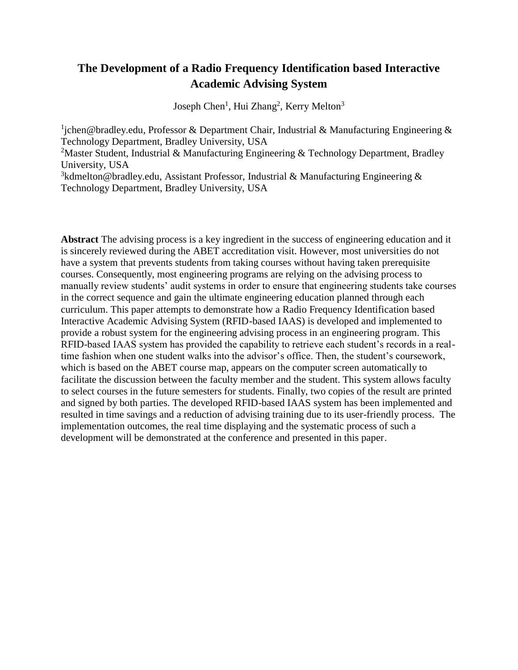# **The Development of a Radio Frequency Identification based Interactive Academic Advising System**

Joseph Chen<sup>1</sup>, Hui Zhang<sup>2</sup>, [Kerry Melton](http://www.bradley.edu/academic/departments/imet/faculty/profile.dot?id=2e79aad9-d567-4237-ad12-358f7aee17e0)<sup>3</sup>

<sup>1</sup>[jchen@bradley.edu,](mailto:jchen@bradley.edu) Professor & Department Chair, Industrial & Manufacturing Engineering & Technology Department, Bradley University, USA

<sup>2</sup>Master Student, Industrial & Manufacturing Engineering & Technology Department, Bradley University, USA

<sup>3</sup>kdmelton@bradley.edu, Assistant Professor, Industrial & Manufacturing Engineering & Technology Department, Bradley University, USA

**Abstract** The advising process is a key ingredient in the success of engineering education and it is sincerely reviewed during the ABET accreditation visit. However, most universities do not have a system that prevents students from taking courses without having taken prerequisite courses. Consequently, most engineering programs are relying on the advising process to manually review students' audit systems in order to ensure that engineering students take courses in the correct sequence and gain the ultimate engineering education planned through each curriculum. This paper attempts to demonstrate how a Radio Frequency Identification based Interactive Academic Advising System (RFID-based IAAS) is developed and implemented to provide a robust system for the engineering advising process in an engineering program. This RFID-based IAAS system has provided the capability to retrieve each student's records in a realtime fashion when one student walks into the advisor's office. Then, the student's coursework, which is based on the ABET course map, appears on the computer screen automatically to facilitate the discussion between the faculty member and the student. This system allows faculty to select courses in the future semesters for students. Finally, two copies of the result are printed and signed by both parties. The developed RFID-based IAAS system has been implemented and resulted in time savings and a reduction of advising training due to its user-friendly process. The implementation outcomes, the real time displaying and the systematic process of such a development will be demonstrated at the conference and presented in this paper.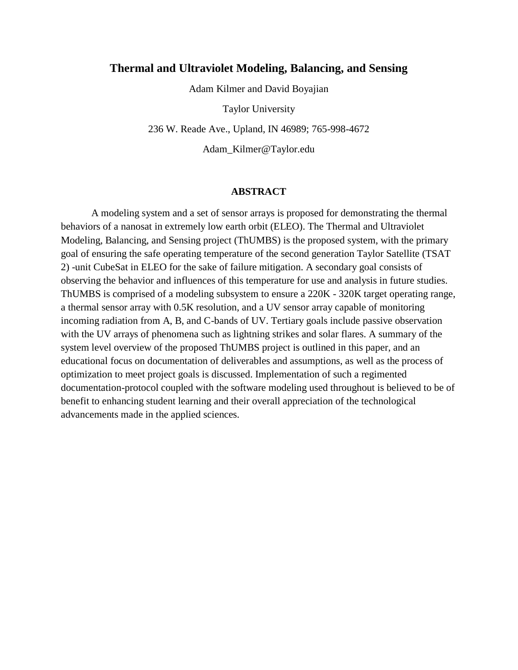## **Thermal and Ultraviolet Modeling, Balancing, and Sensing**

Adam Kilmer and David Boyajian

Taylor University

236 W. Reade Ave., Upland, IN 46989; 765-998-4672

Adam\_Kilmer@Taylor.edu

#### **ABSTRACT**

A modeling system and a set of sensor arrays is proposed for demonstrating the thermal behaviors of a nanosat in extremely low earth orbit (ELEO). The Thermal and Ultraviolet Modeling, Balancing, and Sensing project (ThUMBS) is the proposed system, with the primary goal of ensuring the safe operating temperature of the second generation Taylor Satellite (TSAT 2) -unit CubeSat in ELEO for the sake of failure mitigation. A secondary goal consists of observing the behavior and influences of this temperature for use and analysis in future studies. ThUMBS is comprised of a modeling subsystem to ensure a 220K - 320K target operating range, a thermal sensor array with 0.5K resolution, and a UV sensor array capable of monitoring incoming radiation from A, B, and C-bands of UV. Tertiary goals include passive observation with the UV arrays of phenomena such as lightning strikes and solar flares. A summary of the system level overview of the proposed ThUMBS project is outlined in this paper, and an educational focus on documentation of deliverables and assumptions, as well as the process of optimization to meet project goals is discussed. Implementation of such a regimented documentation-protocol coupled with the software modeling used throughout is believed to be of benefit to enhancing student learning and their overall appreciation of the technological advancements made in the applied sciences.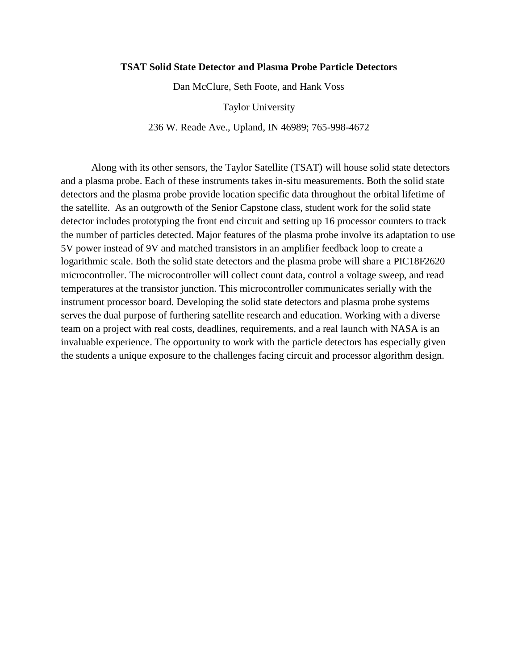#### **TSAT Solid State Detector and Plasma Probe Particle Detectors**

Dan McClure, Seth Foote, and Hank Voss

Taylor University

236 W. Reade Ave., Upland, IN 46989; 765-998-4672

Along with its other sensors, the Taylor Satellite (TSAT) will house solid state detectors and a plasma probe. Each of these instruments takes in-situ measurements. Both the solid state detectors and the plasma probe provide location specific data throughout the orbital lifetime of the satellite. As an outgrowth of the Senior Capstone class, student work for the solid state detector includes prototyping the front end circuit and setting up 16 processor counters to track the number of particles detected. Major features of the plasma probe involve its adaptation to use 5V power instead of 9V and matched transistors in an amplifier feedback loop to create a logarithmic scale. Both the solid state detectors and the plasma probe will share a PIC18F2620 microcontroller. The microcontroller will collect count data, control a voltage sweep, and read temperatures at the transistor junction. This microcontroller communicates serially with the instrument processor board. Developing the solid state detectors and plasma probe systems serves the dual purpose of furthering satellite research and education. Working with a diverse team on a project with real costs, deadlines, requirements, and a real launch with NASA is an invaluable experience. The opportunity to work with the particle detectors has especially given the students a unique exposure to the challenges facing circuit and processor algorithm design.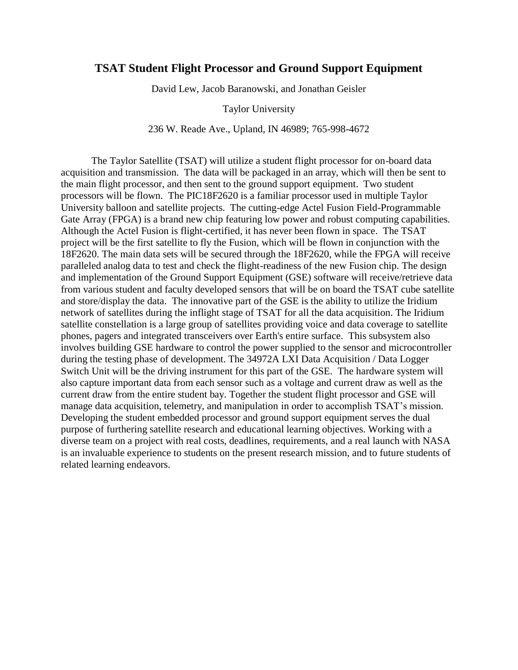## **TSAT Student Flight Processor and Ground Support Equipment**

David Lew, Jacob Baranowski, and Jonathan Geisler

Taylor University

### 236 W. Reade Ave., Upland, IN 46989; 765-998-4672

The Taylor Satellite (TSAT) will utilize a student flight processor for on-board data acquisition and transmission. The data will be packaged in an array, which will then be sent to the main flight processor, and then sent to the ground support equipment. Two student processors will be flown. The PIC18F2620 is a familiar processor used in multiple Taylor University balloon and satellite projects. The cutting-edge Actel Fusion Field-Programmable Gate Array (FPGA) is a brand new chip featuring low power and robust computing capabilities. Although the Actel Fusion is flight-certified, it has never been flown in space. The TSAT project will be the first satellite to fly the Fusion, which will be flown in conjunction with the 18F2620. The main data sets will be secured through the 18F2620, while the FPGA will receive paralleled analog data to test and check the flight-readiness of the new Fusion chip. The design and implementation of the Ground Support Equipment (GSE) software will receive/retrieve data from various student and faculty developed sensors that will be on board the TSAT cube satellite and store/display the data. The innovative part of the GSE is the ability to utilize the Iridium network of satellites during the inflight stage of TSAT for all the data acquisition. The Iridium satellite constellation is a large group of satellites providing voice and data coverage to satellite phones, pagers and integrated transceivers over Earth's entire surface. This subsystem also involves building GSE hardware to control the power supplied to the sensor and microcontroller during the testing phase of development. The 34972A LXI Data Acquisition / Data Logger Switch Unit will be the driving instrument for this part of the GSE. The hardware system will also capture important data from each sensor such as a voltage and current draw as well as the current draw from the entire student bay. Together the student flight processor and GSE will manage data acquisition, telemetry, and manipulation in order to accomplish TSAT's mission. Developing the student embedded processor and ground support equipment serves the dual purpose of furthering satellite research and educational learning objectives. Working with a diverse team on a project with real costs, deadlines, requirements, and a real launch with NASA is an invaluable experience to students on the present research mission, and to future students of related learning endeavors.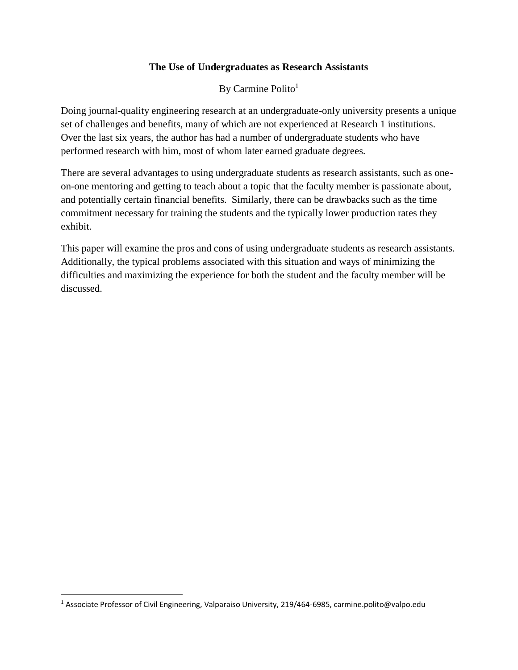## **The Use of Undergraduates as Research Assistants**

By Carmine Polito<sup>1</sup>

Doing journal-quality engineering research at an undergraduate-only university presents a unique set of challenges and benefits, many of which are not experienced at Research 1 institutions. Over the last six years, the author has had a number of undergraduate students who have performed research with him, most of whom later earned graduate degrees.

There are several advantages to using undergraduate students as research assistants, such as oneon-one mentoring and getting to teach about a topic that the faculty member is passionate about, and potentially certain financial benefits. Similarly, there can be drawbacks such as the time commitment necessary for training the students and the typically lower production rates they exhibit.

This paper will examine the pros and cons of using undergraduate students as research assistants. Additionally, the typical problems associated with this situation and ways of minimizing the difficulties and maximizing the experience for both the student and the faculty member will be discussed.

l

<sup>1</sup> Associate Professor of Civil Engineering, Valparaiso University, 219/464-6985, carmine.polito@valpo.edu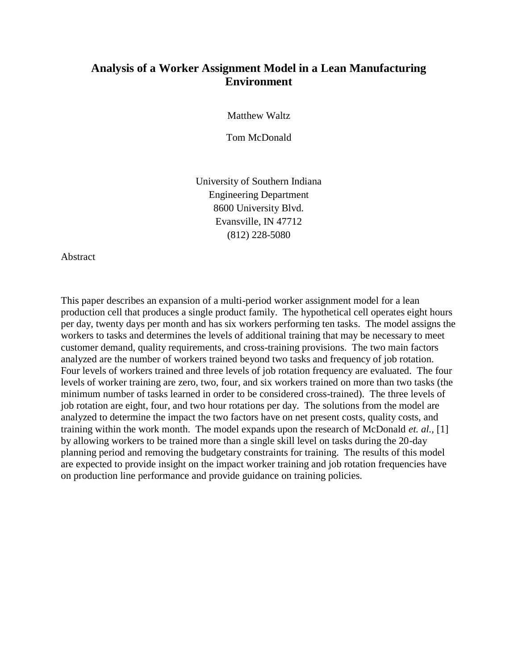# **Analysis of a Worker Assignment Model in a Lean Manufacturing Environment**

Matthew Waltz

Tom McDonald

University of Southern Indiana Engineering Department 8600 University Blvd. Evansville, IN 47712 (812) 228-5080

Abstract

This paper describes an expansion of a multi-period worker assignment model for a lean production cell that produces a single product family. The hypothetical cell operates eight hours per day, twenty days per month and has six workers performing ten tasks. The model assigns the workers to tasks and determines the levels of additional training that may be necessary to meet customer demand, quality requirements, and cross-training provisions. The two main factors analyzed are the number of workers trained beyond two tasks and frequency of job rotation. Four levels of workers trained and three levels of job rotation frequency are evaluated. The four levels of worker training are zero, two, four, and six workers trained on more than two tasks (the minimum number of tasks learned in order to be considered cross-trained). The three levels of job rotation are eight, four, and two hour rotations per day. The solutions from the model are analyzed to determine the impact the two factors have on net present costs, quality costs, and training within the work month. The model expands upon the research of McDonald *et. al.,* [1] by allowing workers to be trained more than a single skill level on tasks during the 20-day planning period and removing the budgetary constraints for training. The results of this model are expected to provide insight on the impact worker training and job rotation frequencies have on production line performance and provide guidance on training policies.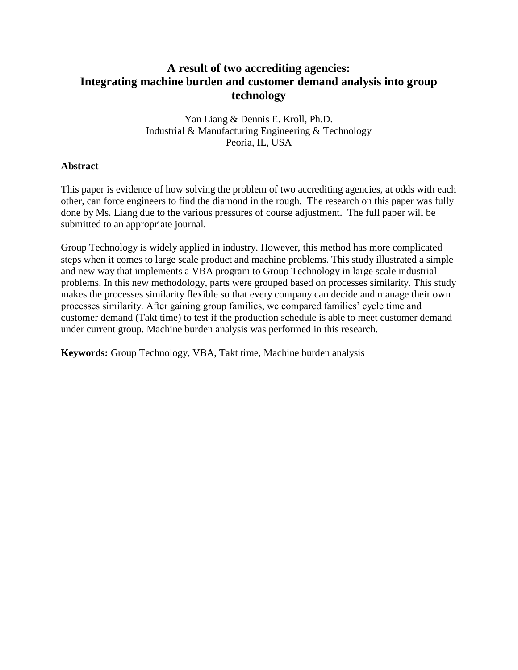# **A result of two accrediting agencies: Integrating machine burden and customer demand analysis into group technology**

Yan Liang & Dennis E. Kroll, Ph.D. Industrial & Manufacturing Engineering & Technology Peoria, IL, USA

## **Abstract**

This paper is evidence of how solving the problem of two accrediting agencies, at odds with each other, can force engineers to find the diamond in the rough. The research on this paper was fully done by Ms. Liang due to the various pressures of course adjustment. The full paper will be submitted to an appropriate journal.

Group Technology is widely applied in industry. However, this method has more complicated steps when it comes to large scale product and machine problems. This study illustrated a simple and new way that implements a VBA program to Group Technology in large scale industrial problems. In this new methodology, parts were grouped based on processes similarity. This study makes the processes similarity flexible so that every company can decide and manage their own processes similarity. After gaining group families, we compared families' cycle time and customer demand (Takt time) to test if the production schedule is able to meet customer demand under current group. Machine burden analysis was performed in this research.

**Keywords:** Group Technology, VBA, Takt time, Machine burden analysis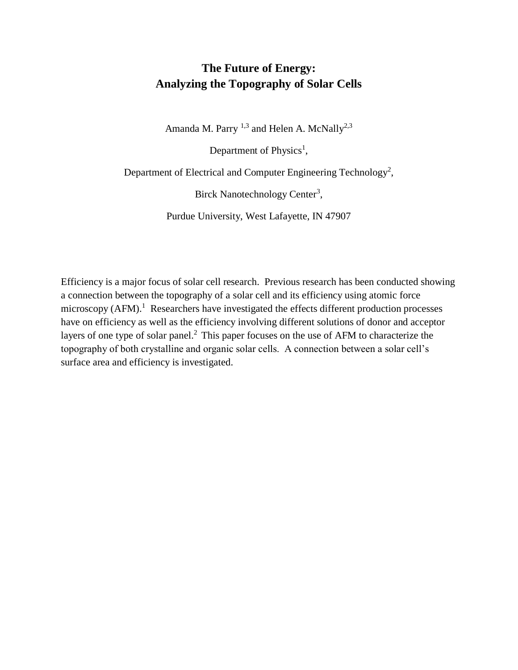# **The Future of Energy: Analyzing the Topography of Solar Cells**

Amanda M. Parry  $^{1,3}$  and Helen A. McNally<sup>2,3</sup>

Department of Physics<sup>1</sup>,

Department of Electrical and Computer Engineering Technology<sup>2</sup>,

Birck Nanotechnology Center<sup>3</sup>,

Purdue University, West Lafayette, IN 47907

Efficiency is a major focus of solar cell research. Previous research has been conducted showing a connection between the topography of a solar cell and its efficiency using atomic force microscopy  $(AFM)$ .<sup>1</sup> Researchers have investigated the effects different production processes have on efficiency as well as the efficiency involving different solutions of donor and acceptor layers of one type of solar panel.<sup>2</sup> This paper focuses on the use of AFM to characterize the topography of both crystalline and organic solar cells. A connection between a solar cell's surface area and efficiency is investigated.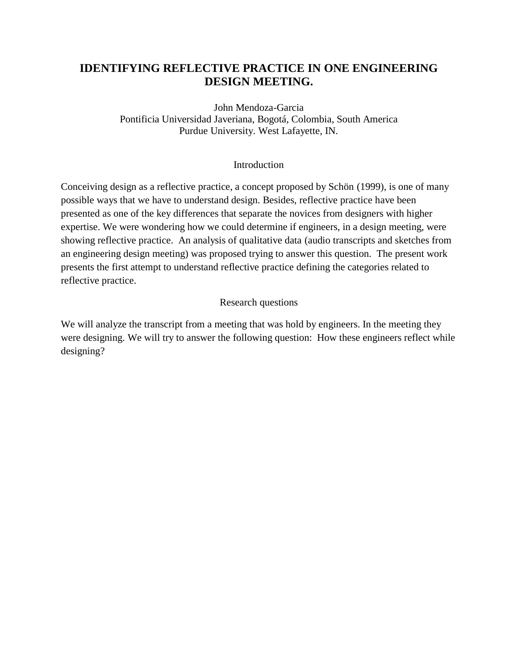# **IDENTIFYING REFLECTIVE PRACTICE IN ONE ENGINEERING DESIGN MEETING.**

John Mendoza-Garcia Pontificia Universidad Javeriana, Bogotá, Colombia, South America Purdue University. West Lafayette, IN.

## Introduction

Conceiving design as a reflective practice, a concept proposed by Schön (1999), is one of many possible ways that we have to understand design. Besides, reflective practice have been presented as one of the key differences that separate the novices from designers with higher expertise. We were wondering how we could determine if engineers, in a design meeting, were showing reflective practice. An analysis of qualitative data (audio transcripts and sketches from an engineering design meeting) was proposed trying to answer this question. The present work presents the first attempt to understand reflective practice defining the categories related to reflective practice.

## Research questions

We will analyze the transcript from a meeting that was hold by engineers. In the meeting they were designing. We will try to answer the following question: How these engineers reflect while designing?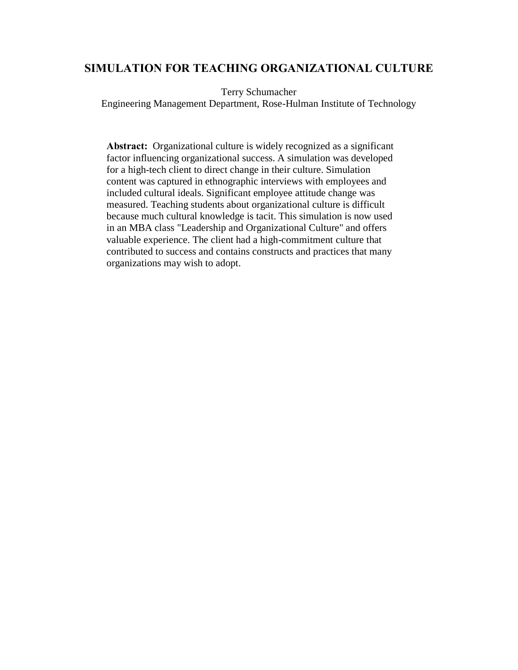## **SIMULATION FOR TEACHING ORGANIZATIONAL CULTURE**

Terry Schumacher

Engineering Management Department, Rose-Hulman Institute of Technology

**Abstract:** Organizational culture is widely recognized as a significant factor influencing organizational success. A simulation was developed for a high-tech client to direct change in their culture. Simulation content was captured in ethnographic interviews with employees and included cultural ideals. Significant employee attitude change was measured. Teaching students about organizational culture is difficult because much cultural knowledge is tacit. This simulation is now used in an MBA class "Leadership and Organizational Culture" and offers valuable experience. The client had a high-commitment culture that contributed to success and contains constructs and practices that many organizations may wish to adopt.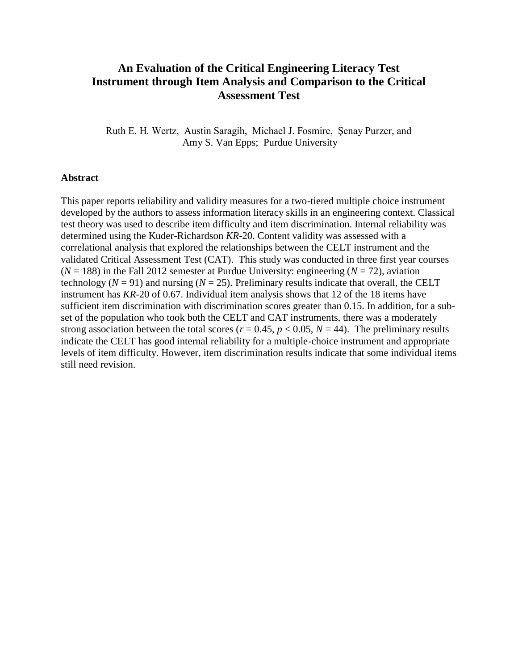# **An Evaluation of the Critical Engineering Literacy Test Instrument through Item Analysis and Comparison to the Critical Assessment Test**

Ruth E. H. Wertz, Austin Saragih, Michael J. Fosmire, Şenay Purzer, and Amy S. Van Epps; Purdue University

#### **Abstract**

This paper reports reliability and validity measures for a two-tiered multiple choice instrument developed by the authors to assess information literacy skills in an engineering context. Classical test theory was used to describe item difficulty and item discrimination. Internal reliability was determined using the Kuder-Richardson *KR*-20. Content validity was assessed with a correlational analysis that explored the relationships between the CELT instrument and the validated Critical Assessment Test (CAT). This study was conducted in three first year courses  $(N = 188)$  in the Fall 2012 semester at Purdue University: engineering  $(N = 72)$ , aviation technology ( $N = 91$ ) and nursing ( $N = 25$ ). Preliminary results indicate that overall, the CELT instrument has *KR*-20 of 0.67. Individual item analysis shows that 12 of the 18 items have sufficient item discrimination with discrimination scores greater than 0.15. In addition, for a subset of the population who took both the CELT and CAT instruments, there was a moderately strong association between the total scores ( $r = 0.45$ ,  $p < 0.05$ ,  $N = 44$ ). The preliminary results indicate the CELT has good internal reliability for a multiple-choice instrument and appropriate levels of item difficulty. However, item discrimination results indicate that some individual items still need revision.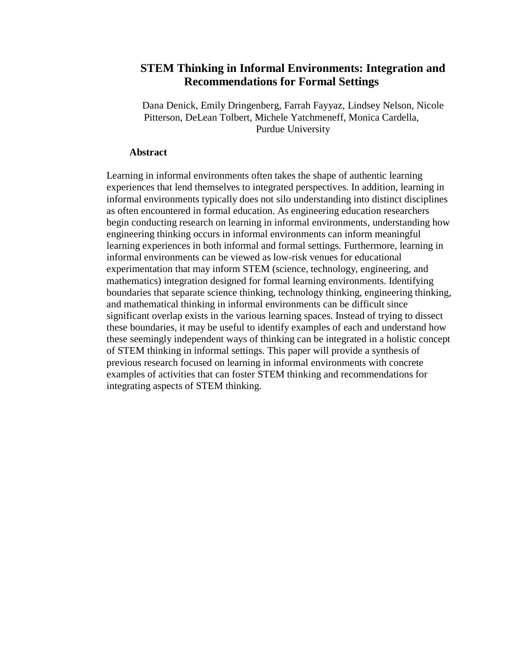## **STEM Thinking in Informal Environments: Integration and Recommendations for Formal Settings**

Dana Denick, Emily Dringenberg, Farrah Fayyaz, Lindsey Nelson, Nicole Pitterson, DeLean Tolbert, Michele Yatchmeneff, Monica Cardella, Purdue University

#### **Abstract**

Learning in informal environments often takes the shape of authentic learning experiences that lend themselves to integrated perspectives. In addition, learning in informal environments typically does not silo understanding into distinct disciplines as often encountered in formal education. As engineering education researchers begin conducting research on learning in informal environments, understanding how engineering thinking occurs in informal environments can inform meaningful learning experiences in both informal and formal settings. Furthermore, learning in informal environments can be viewed as low-risk venues for educational experimentation that may inform STEM (science, technology, engineering, and mathematics) integration designed for formal learning environments. Identifying boundaries that separate science thinking, technology thinking, engineering thinking, and mathematical thinking in informal environments can be difficult since significant overlap exists in the various learning spaces. Instead of trying to dissect these boundaries, it may be useful to identify examples of each and understand how these seemingly independent ways of thinking can be integrated in a holistic concept of STEM thinking in informal settings. This paper will provide a synthesis of previous research focused on learning in informal environments with concrete examples of activities that can foster STEM thinking and recommendations for integrating aspects of STEM thinking.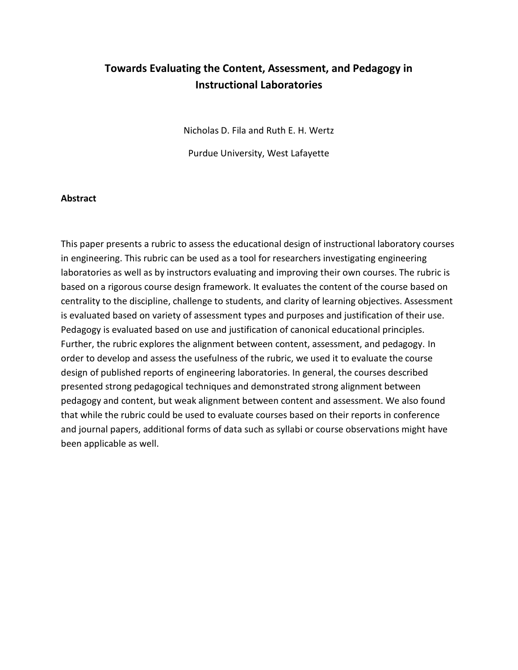# **Towards Evaluating the Content, Assessment, and Pedagogy in Instructional Laboratories**

Nicholas D. Fila and Ruth E. H. Wertz

Purdue University, West Lafayette

#### **Abstract**

This paper presents a rubric to assess the educational design of instructional laboratory courses in engineering. This rubric can be used as a tool for researchers investigating engineering laboratories as well as by instructors evaluating and improving their own courses. The rubric is based on a rigorous course design framework. It evaluates the content of the course based on centrality to the discipline, challenge to students, and clarity of learning objectives. Assessment is evaluated based on variety of assessment types and purposes and justification of their use. Pedagogy is evaluated based on use and justification of canonical educational principles. Further, the rubric explores the alignment between content, assessment, and pedagogy. In order to develop and assess the usefulness of the rubric, we used it to evaluate the course design of published reports of engineering laboratories. In general, the courses described presented strong pedagogical techniques and demonstrated strong alignment between pedagogy and content, but weak alignment between content and assessment. We also found that while the rubric could be used to evaluate courses based on their reports in conference and journal papers, additional forms of data such as syllabi or course observations might have been applicable as well.